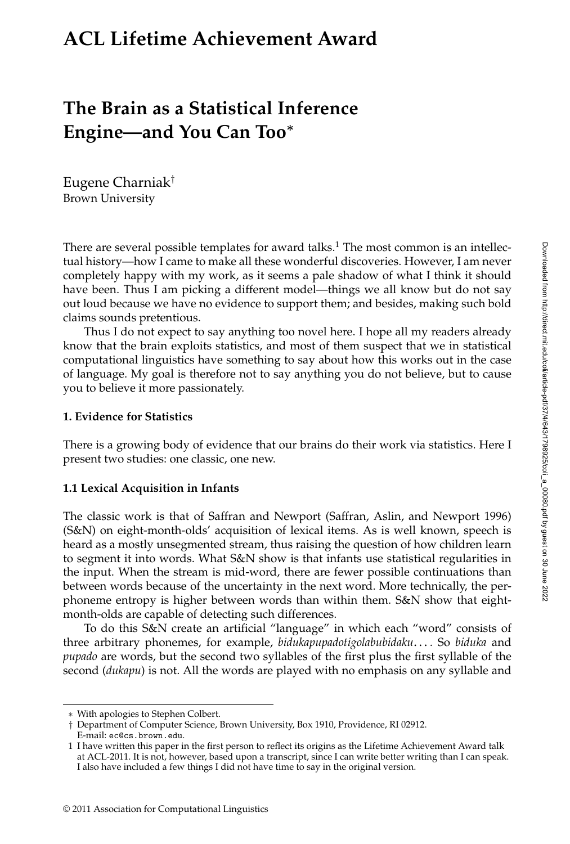## **ACL Lifetime Achievement Award**

# **The Brain as a Statistical Inference Engine—and You Can Too***<sup>∗</sup>*

Eugene Charniak† Brown University

There are several possible templates for award talks.<sup>1</sup> The most common is an intellectual history—how Icame to make all these wonderful discoveries. However, Iam never completely happy with my work, as it seems a pale shadow of what I think it should have been. Thus I am picking a different model—things we all know but do not say out loud because we have no evidence to support them; and besides, making such bold claims sounds pretentious.

Thus I do not expect to say anything too novel here. I hope all my readers already know that the brain exploits statistics, and most of them suspect that we in statistical computational linguistics have something to say about how this works out in the case of language. My goal is therefore not to say anything you do not believe, but to cause you to believe it more passionately.

#### **1. Evidence for Statistics**

There is a growing body of evidence that our brains do their work via statistics. Here I present two studies: one classic, one new.

#### **1.1 Lexical Acquisition in Infants**

The classic work is that of Saffran and Newport (Saffran, Aslin, and Newport 1996) (S&N) on eight-month-olds' acquisition of lexical items. As is well known, speech is heard as a mostly unsegmented stream, thus raising the question of how children learn to segment it into words. What S&N show is that infants use statistical regularities in the input. When the stream is mid-word, there are fewer possible continuations than between words because of the uncertainty in the next word. More technically, the perphoneme entropy is higher between words than within them. S&N show that eightmonth-olds are capable of detecting such differences.

To do this S&N create an artificial "language" in which each "word" consists of three arbitrary phonemes, for example, *bidukapupadotigolabubidaku*... . So *biduka* and *pupado* are words, but the second two syllables of the first plus the first syllable of the second (*dukapu*) is not. All the words are played with no emphasis on any syllable and

<sup>∗</sup> With apologies to Stephen Colbert.

<sup>†</sup> Department of Computer Science, Brown University, Box 1910, Providence, RI02912.

E-mail: ec@cs.brown.edu.

<sup>1</sup> Ihave written this paper in the first person to reflect its origins as the Lifetime Achievement Award talk at ACL-2011. It is not, however, based upon a transcript, since Ican write better writing than Ican speak. I also have included a few things I did not have time to say in the original version.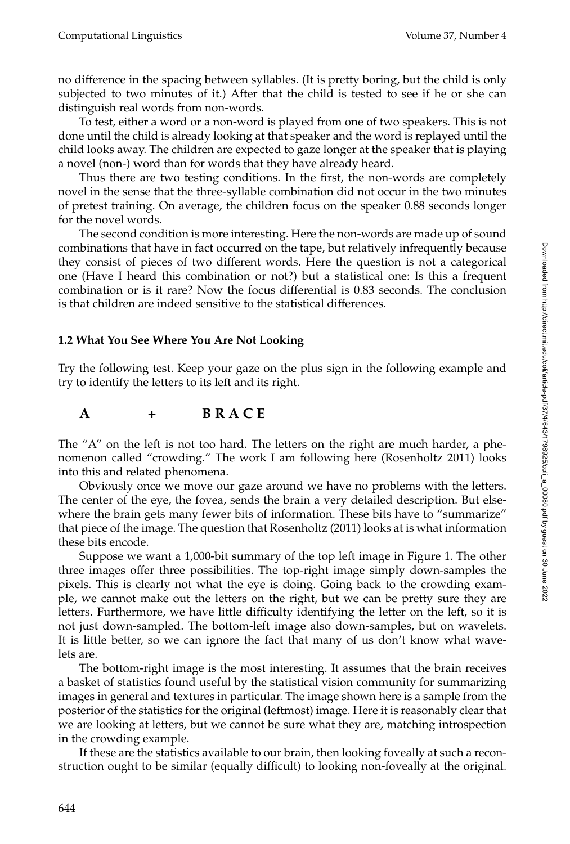no difference in the spacing between syllables. (It is pretty boring, but the child is only subjected to two minutes of it.) After that the child is tested to see if he or she can distinguish real words from non-words.

To test, either a word or a non-word is played from one of two speakers. This is not done until the child is already looking at that speaker and the word is replayed until the child looks away. The children are expected to gaze longer at the speaker that is playing a novel (non-) word than for words that they have already heard.

Thus there are two testing conditions. In the first, the non-words are completely novel in the sense that the three-syllable combination did not occur in the two minutes of pretest training. On average, the children focus on the speaker 0.88 seconds longer for the novel words.

The second condition is more interesting. Here the non-words are made up of sound combinations that have in fact occurred on the tape, but relatively infrequently because they consist of pieces of two different words. Here the question is not a categorical one (Have I heard this combination or not?) but a statistical one: Is this a frequent combination or is it rare? Now the focus differential is 0.83 seconds. The conclusion is that children are indeed sensitive to the statistical differences.

#### **1.2 What You See Where You Are Not Looking**

Try the following test. Keep your gaze on the plus sign in the following example and try to identify the letters to its left and its right.

### **A + BRACE**

The "A" on the left is not too hard. The letters on the right are much harder, a phenomenon called "crowding." The work I am following here (Rosenholtz 2011) looks into this and related phenomena.

Obviously once we move our gaze around we have no problems with the letters. The center of the eye, the fovea, sends the brain a very detailed description. But elsewhere the brain gets many fewer bits of information. These bits have to "summarize" that piece of the image. The question that Rosenholtz (2011) looks at is what information these bits encode.

Suppose we want a 1,000-bit summary of the top left image in Figure 1. The other three images offer three possibilities. The top-right image simply down-samples the pixels. This is clearly not what the eye is doing. Going back to the crowding example, we cannot make out the letters on the right, but we can be pretty sure they are letters. Furthermore, we have little difficulty identifying the letter on the left, so it is not just down-sampled. The bottom-left image also down-samples, but on wavelets. It is little better, so we can ignore the fact that many of us don't know what wavelets are.

The bottom-right image is the most interesting. It assumes that the brain receives a basket of statistics found useful by the statistical vision community for summarizing images in general and textures in particular. The image shown here is a sample from the posterior of the statistics for the original (leftmost) image. Here it is reasonably clear that we are looking at letters, but we cannot be sure what they are, matching introspection in the crowding example.

If these are the statistics available to our brain, then looking foveally at such a reconstruction ought to be similar (equally difficult) to looking non-foveally at the original.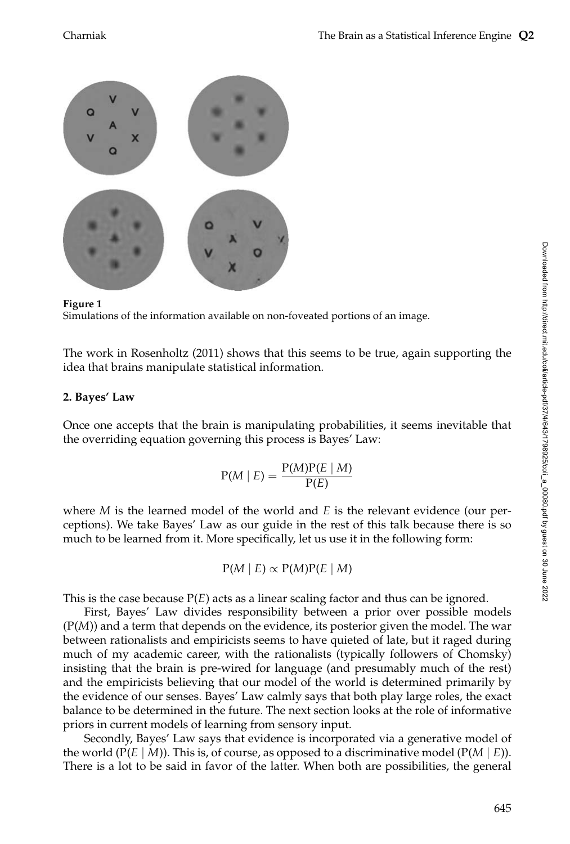



The work in Rosenholtz (2011) shows that this seems to be true, again supporting the idea that brains manipulate statistical information.

#### **2. Bayes' Law**

Once one accepts that the brain is manipulating probabilities, it seems inevitable that the overriding equation governing this process is Bayes' Law:

$$
P(M \mid E) = \frac{P(M)P(E \mid M)}{P(E)}
$$

where *M* is the learned model of the world and *E* is the relevant evidence (our perceptions). We take Bayes' Law as our guide in the rest of this talk because there is so much to be learned from it. More specifically, let us use it in the following form:

 $P(M | E) \propto P(M)P(E | M)$ 

This is the case because P(*E*) acts as a linear scaling factor and thus can be ignored.

First, Bayes' Law divides responsibility between a prior over possible models (P(*M*)) and a term that depends on the evidence, its posterior given the model. The war between rationalists and empiricists seems to have quieted of late, but it raged during much of my academic career, with the rationalists (typically followers of Chomsky) insisting that the brain is pre-wired for language (and presumably much of the rest) and the empiricists believing that our model of the world is determined primarily by the evidence of our senses. Bayes' Law calmly says that both play large roles, the exact balance to be determined in the future. The next section looks at the role of informative priors in current models of learning from sensory input.

Secondly, Bayes' Law says that evidence is incorporated via a generative model of the world  $(P(E \mid M))$ . This is, of course, as opposed to a discriminative model  $(P(M \mid E))$ . There is a lot to be said in favor of the latter. When both are possibilities, the general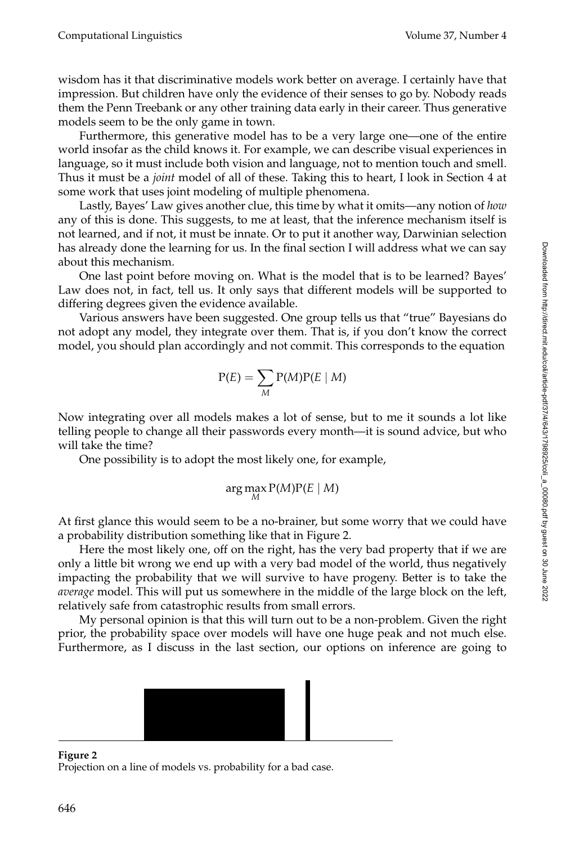wisdom has it that discriminative models work better on average. I certainly have that impression. But children have only the evidence of their senses to go by. Nobody reads them the Penn Treebank or any other training data early in their career. Thus generative models seem to be the only game in town.

Furthermore, this generative model has to be a very large one—one of the entire world insofar as the child knows it. For example, we can describe visual experiences in language, so it must include both vision and language, not to mention touch and smell. Thus it must be a *joint* model of all of these. Taking this to heart, Ilook in Section 4 at some work that uses joint modeling of multiple phenomena.

Lastly, Bayes' Law gives another clue, this time by what it omits—any notion of *how* any of this is done. This suggests, to me at least, that the inference mechanism itself is not learned, and if not, it must be innate. Or to put it another way, Darwinian selection has already done the learning for us. In the final section I will address what we can say about this mechanism.

One last point before moving on. What is the model that is to be learned? Bayes' Law does not, in fact, tell us. It only says that different models will be supported to differing degrees given the evidence available.

Various answers have been suggested. One group tells us that "true" Bayesians do not adopt any model, they integrate over them. That is, if you don't know the correct model, you should plan accordingly and not commit. This corresponds to the equation

$$
P(E) = \sum_{M} P(M)P(E \mid M)
$$

Now integrating over all models makes a lot of sense, but to me it sounds a lot like telling people to change all their passwords every month—it is sound advice, but who will take the time?

One possibility is to adopt the most likely one, for example,

$$
\arg\max_{M} P(M) P(E \mid M)
$$

At first glance this would seem to be a no-brainer, but some worry that we could have a probability distribution something like that in Figure 2.

Here the most likely one, off on the right, has the very bad property that if we are only a little bit wrong we end up with a very bad model of the world, thus negatively impacting the probability that we will survive to have progeny. Better is to take the *average* model. This will put us somewhere in the middle of the large block on the left, relatively safe from catastrophic results from small errors.

My personal opinion is that this will turn out to be a non-problem. Given the right prior, the probability space over models will have one huge peak and not much else. Furthermore, as I discuss in the last section, our options on inference are going to



#### **Figure 2** Projection on a line of models vs. probability for a bad case.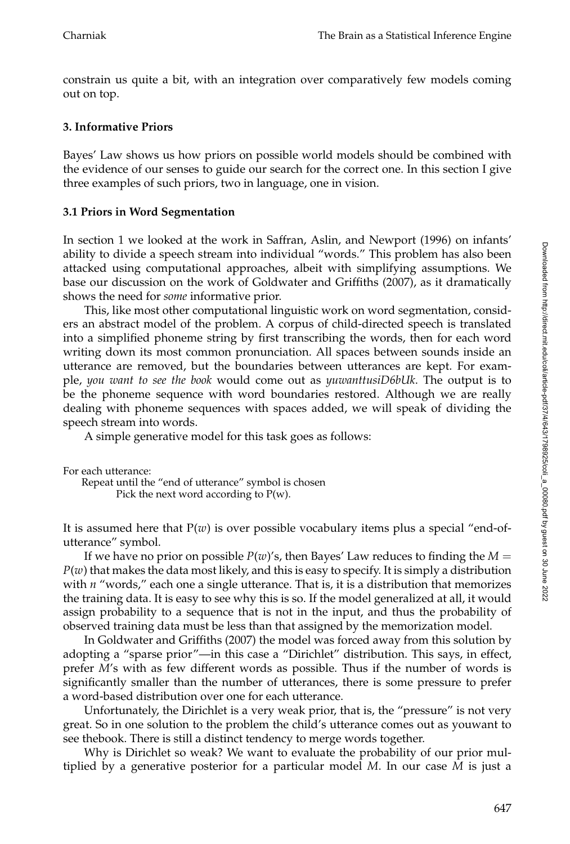constrain us quite a bit, with an integration over comparatively few models coming out on top.

#### **3. Informative Priors**

Bayes' Law shows us how priors on possible world models should be combined with the evidence of our senses to guide our search for the correct one. In this section I give three examples of such priors, two in language, one in vision.

### **3.1 Priors in Word Segmentation**

In section 1 we looked at the work in Saffran, Aslin, and Newport (1996) on infants' ability to divide a speech stream into individual "words." This problem has also been attacked using computational approaches, albeit with simplifying assumptions. We base our discussion on the work of Goldwater and Griffiths (2007), as it dramatically shows the need for *some* informative prior.

This, like most other computational linguistic work on word segmentation, considers an abstract model of the problem. A corpus of child-directed speech is translated into a simplified phoneme string by first transcribing the words, then for each word writing down its most common pronunciation. All spaces between sounds inside an utterance are removed, but the boundaries between utterances are kept. For example, *you want to see the book* would come out as *yuwanttusiD6bUk*. The output is to be the phoneme sequence with word boundaries restored. Although we are really dealing with phoneme sequences with spaces added, we will speak of dividing the speech stream into words.

A simple generative model for this task goes as follows:

For each utterance:

Repeat until the "end of utterance" symbol is chosen Pick the next word according to  $P(w)$ .

It is assumed here that  $P(w)$  is over possible vocabulary items plus a special "end-ofutterance" symbol.

If we have no prior on possible  $P(w)$ 's, then Bayes' Law reduces to finding the  $M =$ *P*(*w*) that makes the data most likely, and this is easy to specify. It is simply a distribution with *n* "words," each one a single utterance. That is, it is a distribution that memorizes the training data. It is easy to see why this is so. If the model generalized at all, it would assign probability to a sequence that is not in the input, and thus the probability of observed training data must be less than that assigned by the memorization model.

In Goldwater and Griffiths (2007) the model was forced away from this solution by adopting a "sparse prior"—in this case a "Dirichlet" distribution. This says, in effect, prefer *M*'s with as few different words as possible. Thus if the number of words is significantly smaller than the number of utterances, there is some pressure to prefer a word-based distribution over one for each utterance.

Unfortunately, the Dirichlet is a very weak prior, that is, the "pressure" is not very great. So in one solution to the problem the child's utterance comes out as youwant to see thebook. There is still a distinct tendency to merge words together.

Why is Dirichlet so weak? We want to evaluate the probability of our prior multiplied by a generative posterior for a particular model *M*. In our case *M* is just a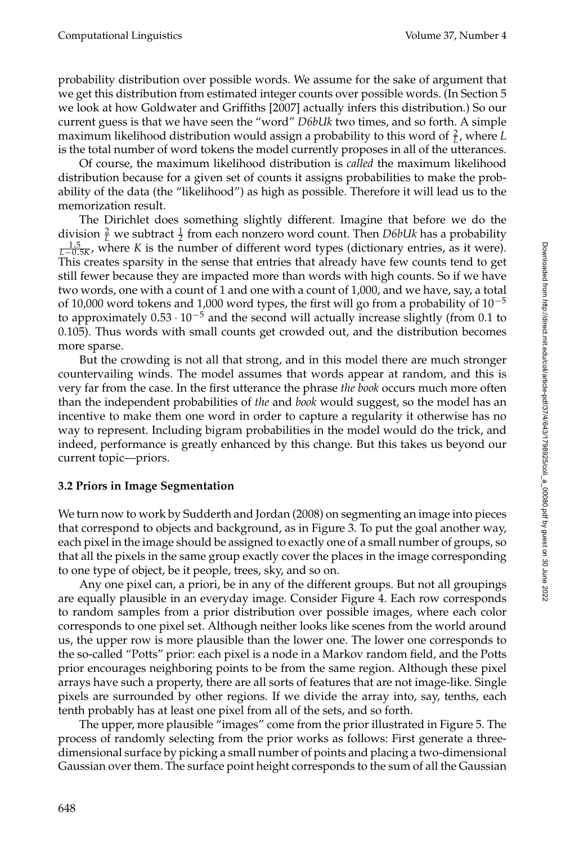probability distribution over possible words. We assume for the sake of argument that we get this distribution from estimated integer counts over possible words. (In Section 5 we look at how Goldwater and Griffiths [2007] actually infers this distribution.) So our current guess is that we have seen the "word" *D6bUk* two times, and so forth. A simple maximum likelihood distribution would assign a probability to this word of  $\frac{2}{L}$ , where *L* is the total number of word tokens the model currently proposes in all of the utterances.

Of course, the maximum likelihood distribution is *called* the maximum likelihood distribution because for a given set of counts it assigns probabilities to make the probability of the data (the "likelihood") as high as possible. Therefore it will lead us to the memorization result.

The Dirichlet does something slightly different. Imagine that before we do the division  $\frac{2}{L}$  we subtract  $\frac{1}{2}$  from each nonzero word count. Then *D6bUk* has a probability 1.5 *<sup>L</sup>*−0.5*<sup>K</sup>* , where *<sup>K</sup>* is the number of different word types (dictionary entries, as it were). This creates sparsity in the sense that entries that already have few counts tend to get still fewer because they are impacted more than words with high counts. So if we have two words, one with a count of 1 and one with a count of 1,000, and we have, say, a total of 10,000 word tokens and 1,000 word types, the first will go from a probability of  $10^{-5}$ to approximately  $0.53 \cdot 10^{-5}$  and the second will actually increase slightly (from 0.1 to 0.105). Thus words with small counts get crowded out, and the distribution becomes more sparse.

But the crowding is not all that strong, and in this model there are much stronger countervailing winds. The model assumes that words appear at random, and this is very far from the case. In the first utterance the phrase *the book* occurs much more often than the independent probabilities of *the* and *book* would suggest, so the model has an incentive to make them one word in order to capture a regularity it otherwise has no way to represent. Including bigram probabilities in the model would do the trick, and indeed, performance is greatly enhanced by this change. But this takes us beyond our current topic—priors.

#### **3.2 Priors in Image Segmentation**

We turn now to work by Sudderth and Jordan (2008) on segmenting an image into pieces that correspond to objects and background, as in Figure 3. To put the goal another way, each pixel in the image should be assigned to exactly one of a small number of groups, so that all the pixels in the same group exactly cover the places in the image corresponding to one type of object, be it people, trees, sky, and so on.

Any one pixel can, a priori, be in any of the different groups. But not all groupings are equally plausible in an everyday image. Consider Figure 4. Each row corresponds to random samples from a prior distribution over possible images, where each color corresponds to one pixel set. Although neither looks like scenes from the world around us, the upper row is more plausible than the lower one. The lower one corresponds to the so-called "Potts" prior: each pixel is a node in a Markov random field, and the Potts prior encourages neighboring points to be from the same region. Although these pixel arrays have such a property, there are all sorts of features that are not image-like. Single pixels are surrounded by other regions. If we divide the array into, say, tenths, each tenth probably has at least one pixel from all of the sets, and so forth.

The upper, more plausible "images" come from the prior illustrated in Figure 5. The process of randomly selecting from the prior works as follows: First generate a threedimensional surface by picking a small number of points and placing a two-dimensional Gaussian over them. The surface point height corresponds to the sum of all the Gaussian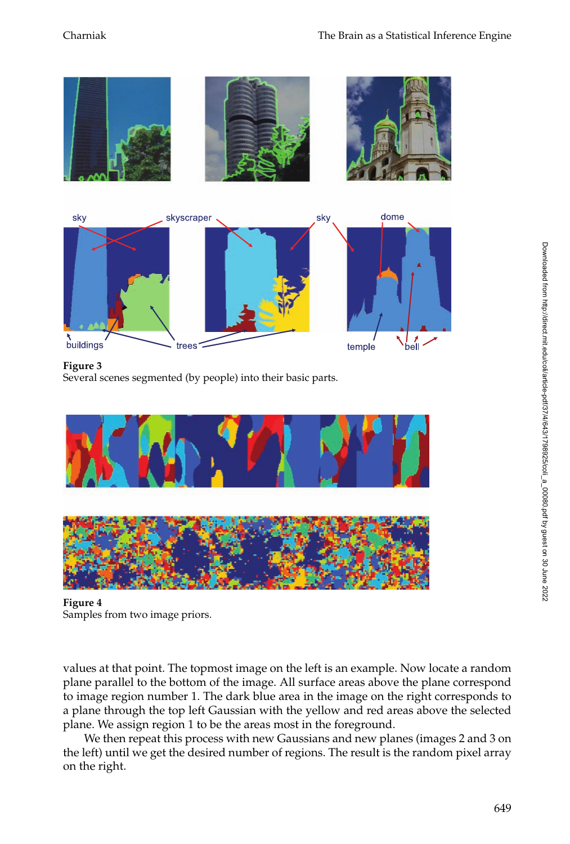



#### **Figure 3**

Several scenes segmented (by people) into their basic parts.



**Figure 4** Samples from two image priors.

values at that point. The topmost image on the left is an example. Now locate a random plane parallel to the bottom of the image. All surface areas above the plane correspond to image region number 1. The dark blue area in the image on the right corresponds to a plane through the top left Gaussian with the yellow and red areas above the selected plane. We assign region 1 to be the areas most in the foreground.

We then repeat this process with new Gaussians and new planes (images 2 and 3 on the left) until we get the desired number of regions. The result is the random pixel array on the right.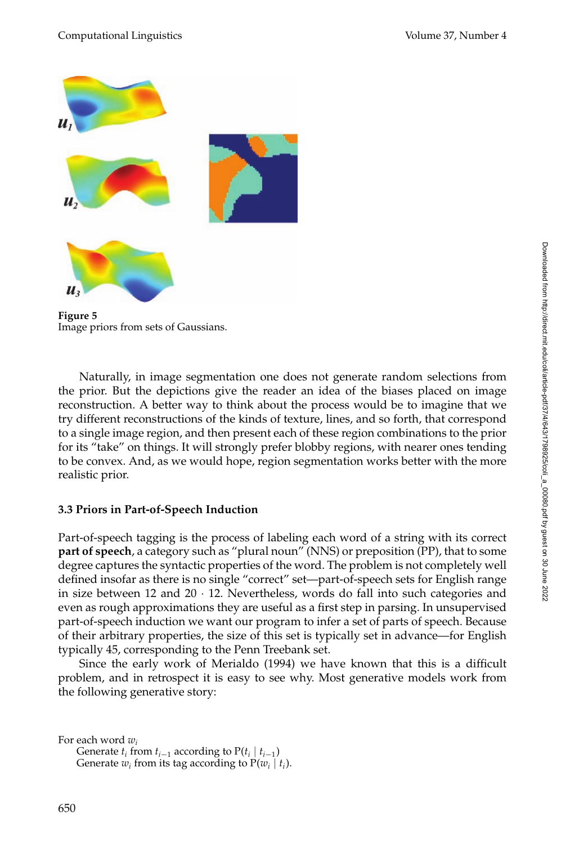

**Figure 5** Image priors from sets of Gaussians.

Naturally, in image segmentation one does not generate random selections from the prior. But the depictions give the reader an idea of the biases placed on image reconstruction. A better way to think about the process would be to imagine that we try different reconstructions of the kinds of texture, lines, and so forth, that correspond to a single image region, and then present each of these region combinations to the prior for its "take" on things. It will strongly prefer blobby regions, with nearer ones tending to be convex. And, as we would hope, region segmentation works better with the more realistic prior.

#### **3.3 Priors in Part-of-Speech Induction**

Part-of-speech tagging is the process of labeling each word of a string with its correct **part of speech**, a category such as "plural noun" (NNS) or preposition (PP), that to some degree captures the syntactic properties of the word. The problem is not completely well defined insofar as there is no single "correct" set—part-of-speech sets for English range in size between 12 and  $20 \cdot 12$ . Nevertheless, words do fall into such categories and even as rough approximations they are useful as a first step in parsing. In unsupervised part-of-speech induction we want our program to infer a set of parts of speech. Because of their arbitrary properties, the size of this set is typically set in advance—for English typically 45, corresponding to the Penn Treebank set.

Since the early work of Merialdo (1994) we have known that this is a difficult problem, and in retrospect it is easy to see why. Most generative models work from the following generative story:

For each word *wi* Generate  $t_i$  from  $t_{i-1}$  according to  $P(t_i | t_{i-1})$ Generate  $w_i$  from its tag according to  $P(w_i | t_i)$ .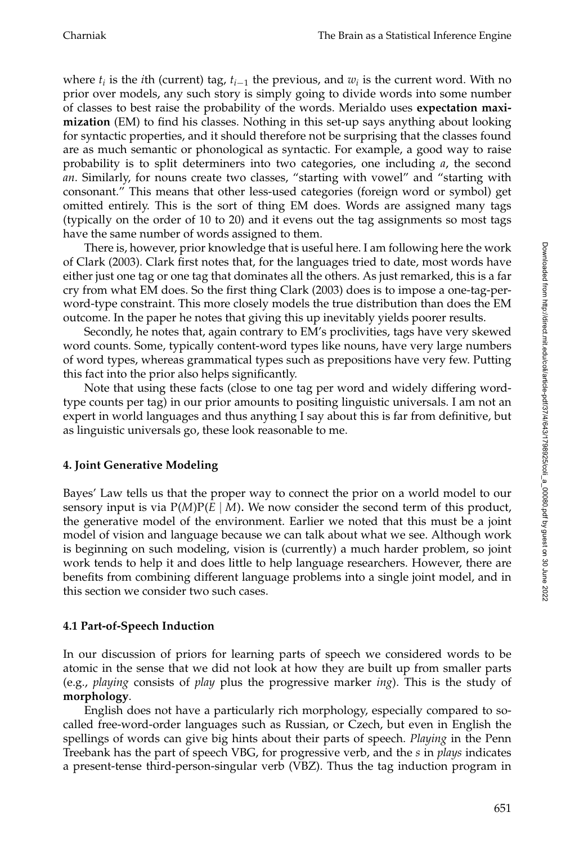where  $t_i$  is the *i*th (current) tag,  $t_{i-1}$  the previous, and  $w_i$  is the current word. With no prior over models, any such story is simply going to divide words into some number of classes to best raise the probability of the words. Merialdo uses **expectation maximization** (EM) to find his classes. Nothing in this set-up says anything about looking for syntactic properties, and it should therefore not be surprising that the classes found are as much semantic or phonological as syntactic. For example, a good way to raise probability is to split determiners into two categories, one including *a*, the second *an*. Similarly, for nouns create two classes, "starting with vowel" and "starting with consonant." This means that other less-used categories (foreign word or symbol) get omitted entirely. This is the sort of thing EM does. Words are assigned many tags (typically on the order of 10 to 20) and it evens out the tag assignments so most tags have the same number of words assigned to them.

There is, however, prior knowledge that is useful here. Iam following here the work of Clark (2003). Clark first notes that, for the languages tried to date, most words have either just one tag or one tag that dominates all the others. As just remarked, this is a far cry from what EM does. So the first thing Clark (2003) does is to impose a one-tag-perword-type constraint. This more closely models the true distribution than does the EM outcome. In the paper he notes that giving this up inevitably yields poorer results.

Secondly, he notes that, again contrary to EM's proclivities, tags have very skewed word counts. Some, typically content-word types like nouns, have very large numbers of word types, whereas grammatical types such as prepositions have very few. Putting this fact into the prior also helps significantly.

Note that using these facts (close to one tag per word and widely differing wordtype counts per tag) in our prior amounts to positing linguistic universals. Iam not an expert in world languages and thus anything I say about this is far from definitive, but as linguistic universals go, these look reasonable to me.

#### **4. Joint Generative Modeling**

Bayes' Law tells us that the proper way to connect the prior on a world model to our sensory input is via  $P(M)P(E \mid M)$ . We now consider the second term of this product, the generative model of the environment. Earlier we noted that this must be a joint model of vision and language because we can talk about what we see. Although work is beginning on such modeling, vision is (currently) a much harder problem, so joint work tends to help it and does little to help language researchers. However, there are benefits from combining different language problems into a single joint model, and in this section we consider two such cases.

## **4.1 Part-of-Speech Induction**

In our discussion of priors for learning parts of speech we considered words to be atomic in the sense that we did not look at how they are built up from smaller parts (e.g., *playing* consists of *play* plus the progressive marker *ing*). This is the study of **morphology**.

English does not have a particularly rich morphology, especially compared to socalled free-word-order languages such as Russian, or Czech, but even in English the spellings of words can give big hints about their parts of speech. *Playing* in the Penn Treebank has the part of speech VBG, for progressive verb, and the *s* in *plays* indicates a present-tense third-person-singular verb (VBZ). Thus the tag induction program in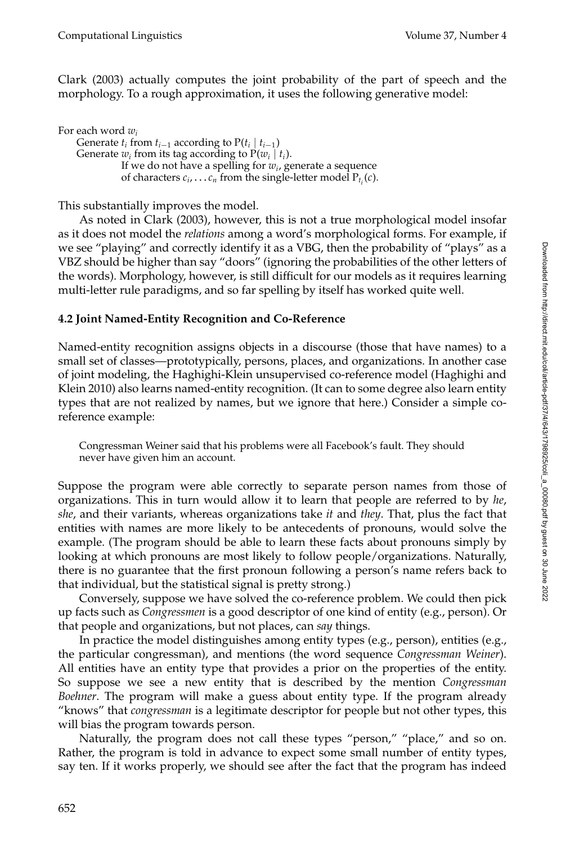Clark (2003) actually computes the joint probability of the part of speech and the morphology. To a rough approximation, it uses the following generative model:

For each word *wi* Generate  $t_i$  from  $t_{i-1}$  according to  $P(t_i | t_{i-1})$ Generate  $w_i$  from its tag according to  $P(w_i | t_i)$ . If we do not have a spelling for *wi*, generate a sequence of characters  $c_i$ , . . .  $c_n$  from the single-letter model  $P_{t_i}(c)$ .

This substantially improves the model.

As noted in Clark (2003), however, this is not a true morphological model insofar as it does not model the *relations* among a word's morphological forms. For example, if we see "playing" and correctly identify it as a VBG, then the probability of "plays" as a VBZ should be higher than say "doors" (ignoring the probabilities of the other letters of the words). Morphology, however, is still difficult for our models as it requires learning multi-letter rule paradigms, and so far spelling by itself has worked quite well.

#### **4.2 Joint Named-Entity Recognition and Co-Reference**

Named-entity recognition assigns objects in a discourse (those that have names) to a small set of classes—prototypically, persons, places, and organizations. In another case of joint modeling, the Haghighi-Klein unsupervised co-reference model (Haghighi and Klein 2010) also learns named-entity recognition. (It can to some degree also learn entity types that are not realized by names, but we ignore that here.) Consider a simple coreference example:

Congressman Weiner said that his problems were all Facebook's fault. They should never have given him an account.

Suppose the program were able correctly to separate person names from those of organizations. This in turn would allow it to learn that people are referred to by *he*, *she*, and their variants, whereas organizations take *it* and *they*. That, plus the fact that entities with names are more likely to be antecedents of pronouns, would solve the example. (The program should be able to learn these facts about pronouns simply by looking at which pronouns are most likely to follow people/organizations. Naturally, there is no guarantee that the first pronoun following a person's name refers back to that individual, but the statistical signal is pretty strong.)

Conversely, suppose we have solved the co-reference problem. We could then pick up facts such as *Congressmen* is a good descriptor of one kind of entity (e.g., person). Or that people and organizations, but not places, can *say* things.

In practice the model distinguishes among entity types (e.g., person), entities (e.g., the particular congressman), and mentions (the word sequence *Congressman Weiner*). All entities have an entity type that provides a prior on the properties of the entity. So suppose we see a new entity that is described by the mention *Congressman Boehner*. The program will make a guess about entity type. If the program already "knows" that *congressman* is a legitimate descriptor for people but not other types, this will bias the program towards person.

Naturally, the program does not call these types "person," "place," and so on. Rather, the program is told in advance to expect some small number of entity types, say ten. If it works properly, we should see after the fact that the program has indeed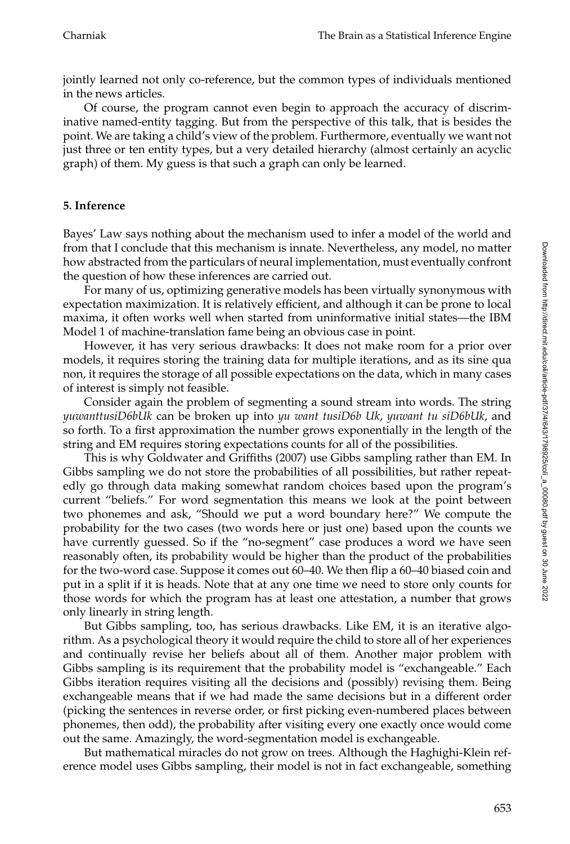jointly learned not only co-reference, but the common types of individuals mentioned in the news articles.

Of course, the program cannot even begin to approach the accuracy of discriminative named-entity tagging. But from the perspective of this talk, that is besides the point. We are taking a child's view of the problem. Furthermore, eventually we want not just three or ten entity types, but a very detailed hierarchy (almost certainly an acyclic graph) of them. My guess is that such a graph can only be learned.

#### **5. Inference**

Bayes' Law says nothing about the mechanism used to infer a model of the world and from that I conclude that this mechanism is innate. Nevertheless, any model, no matter how abstracted from the particulars of neural implementation, must eventually confront the question of how these inferences are carried out.

For many of us, optimizing generative models has been virtually synonymous with expectation maximization. It is relatively efficient, and although it can be prone to local maxima, it often works well when started from uninformative initial states—the IBM Model 1 of machine-translation fame being an obvious case in point.

However, it has very serious drawbacks: It does not make room for a prior over models, it requires storing the training data for multiple iterations, and as its sine qua non, it requires the storage of all possible expectations on the data, which in many cases of interest is simply not feasible.

Consider again the problem of segmenting a sound stream into words. The string *yuwanttusiD6bUk* can be broken up into *yu want tusiD6b Uk*, *yuwant tu siD6bUk*, and so forth. To a first approximation the number grows exponentially in the length of the string and EM requires storing expectations counts for all of the possibilities.

This is why Goldwater and Griffiths (2007) use Gibbs sampling rather than EM. In Gibbs sampling we do not store the probabilities of all possibilities, but rather repeatedly go through data making somewhat random choices based upon the program's current "beliefs." For word segmentation this means we look at the point between two phonemes and ask, "Should we put a word boundary here?" We compute the probability for the two cases (two words here or just one) based upon the counts we have currently guessed. So if the "no-segment" case produces a word we have seen reasonably often, its probability would be higher than the product of the probabilities for the two-word case. Suppose it comes out 60–40. We then flip a 60–40 biased coin and put in a split if it is heads. Note that at any one time we need to store only counts for those words for which the program has at least one attestation, a number that grows only linearly in string length.

But Gibbs sampling, too, has serious drawbacks. Like EM, it is an iterative algorithm. As a psychological theory it would require the child to store all of her experiences and continually revise her beliefs about all of them. Another major problem with Gibbs sampling is its requirement that the probability model is "exchangeable." Each Gibbs iteration requires visiting all the decisions and (possibly) revising them. Being exchangeable means that if we had made the same decisions but in a different order (picking the sentences in reverse order, or first picking even-numbered places between phonemes, then odd), the probability after visiting every one exactly once would come out the same. Amazingly, the word-segmentation model is exchangeable.

But mathematical miracles do not grow on trees. Although the Haghighi-Klein reference model uses Gibbs sampling, their model is not in fact exchangeable, something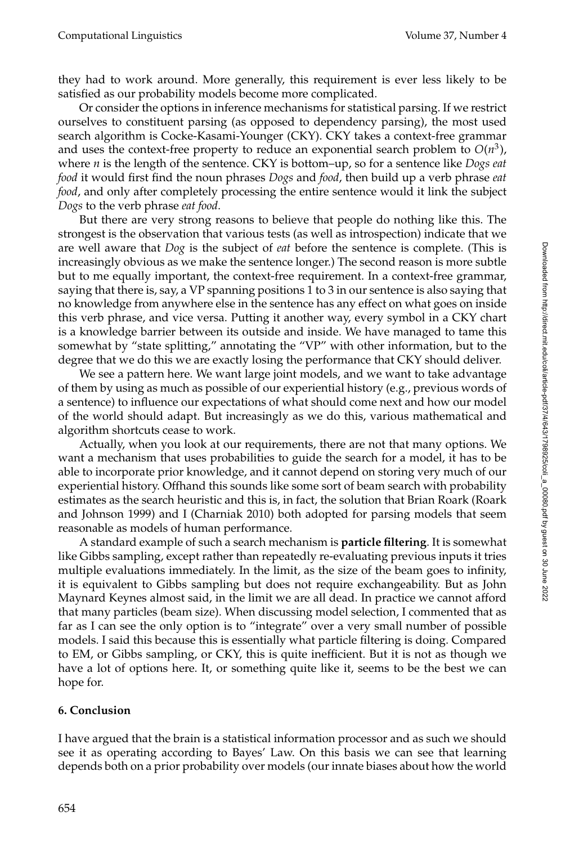they had to work around. More generally, this requirement is ever less likely to be satisfied as our probability models become more complicated.

Or consider the options in inference mechanisms for statistical parsing. If we restrict ourselves to constituent parsing (as opposed to dependency parsing), the most used search algorithm is Cocke-Kasami-Younger (CKY). CKY takes a context-free grammar and uses the context-free property to reduce an exponential search problem to  $O(n^3)$ , where *n* is the length of the sentence. CKY is bottom–up, so for a sentence like *Dogs eat food* it would first find the noun phrases *Dogs* and *food*, then build up a verb phrase *eat food*, and only after completely processing the entire sentence would it link the subject *Dogs* to the verb phrase *eat food*.

But there are very strong reasons to believe that people do nothing like this. The strongest is the observation that various tests (as well as introspection) indicate that we are well aware that *Dog* is the subject of *eat* before the sentence is complete. (This is increasingly obvious as we make the sentence longer.) The second reason is more subtle but to me equally important, the context-free requirement. In a context-free grammar, saying that there is, say, a VP spanning positions 1 to 3 in our sentence is also saying that no knowledge from anywhere else in the sentence has any effect on what goes on inside this verb phrase, and vice versa. Putting it another way, every symbol in a CKY chart is a knowledge barrier between its outside and inside. We have managed to tame this somewhat by "state splitting," annotating the "VP" with other information, but to the degree that we do this we are exactly losing the performance that CKY should deliver.

We see a pattern here. We want large joint models, and we want to take advantage of them by using as much as possible of our experiential history (e.g., previous words of a sentence) to influence our expectations of what should come next and how our model of the world should adapt. But increasingly as we do this, various mathematical and algorithm shortcuts cease to work.

Actually, when you look at our requirements, there are not that many options. We want a mechanism that uses probabilities to guide the search for a model, it has to be able to incorporate prior knowledge, and it cannot depend on storing very much of our experiential history. Offhand this sounds like some sort of beam search with probability estimates as the search heuristic and this is, in fact, the solution that Brian Roark (Roark and Johnson 1999) and I(Charniak 2010) both adopted for parsing models that seem reasonable as models of human performance.

A standard example of such a search mechanism is **particle filtering**. It is somewhat like Gibbs sampling, except rather than repeatedly re-evaluating previous inputs it tries multiple evaluations immediately. In the limit, as the size of the beam goes to infinity, it is equivalent to Gibbs sampling but does not require exchangeability. But as John Maynard Keynes almost said, in the limit we are all dead. In practice we cannot afford that many particles (beam size). When discussing model selection, I commented that as far as I can see the only option is to "integrate" over a very small number of possible models. I said this because this is essentially what particle filtering is doing. Compared to EM, or Gibbs sampling, or CKY, this is quite inefficient. But it is not as though we have a lot of options here. It, or something quite like it, seems to be the best we can hope for.

#### **6. Conclusion**

Ihave argued that the brain is a statistical information processor and as such we should see it as operating according to Bayes' Law. On this basis we can see that learning depends both on a prior probability over models (our innate biases about how the world